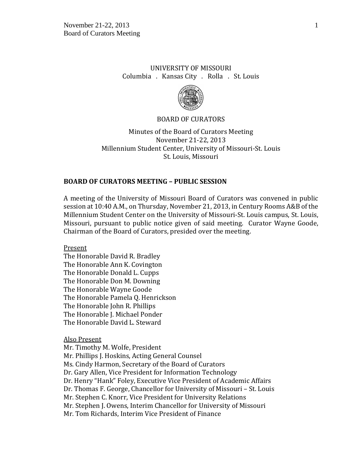# UNIVERSITY OF MISSOURI Columbia . Kansas City . Rolla . St. Louis



#### BOARD OF CURATORS

Minutes of the Board of Curators Meeting November 21-22, 2013 Millennium Student Center, University of Missouri-St. Louis St. Louis, Missouri

## **BOARD OF CURATORS MEETING – PUBLIC SESSION**

A meeting of the University of Missouri Board of Curators was convened in public session at 10:40 A.M., on Thursday, November 21, 2013, in Century Rooms A&B of the Millennium Student Center on the University of Missouri-St. Louis campus, St. Louis, Missouri, pursuant to public notice given of said meeting. Curator Wayne Goode, Chairman of the Board of Curators, presided over the meeting.

Present

The Honorable David R. Bradley The Honorable Ann K. Covington The Honorable Donald L. Cupps The Honorable Don M. Downing The Honorable Wayne Goode The Honorable Pamela Q. Henrickson The Honorable John R. Phillips The Honorable J. Michael Ponder The Honorable David L. Steward

Also Present

Mr. Timothy M. Wolfe, President Mr. Phillips J. Hoskins, Acting General Counsel Ms. Cindy Harmon, Secretary of the Board of Curators Dr. Gary Allen, Vice President for Information Technology Dr. Henry "Hank" Foley, Executive Vice President of Academic Affairs Dr. Thomas F. George, Chancellor for University of Missouri – St. Louis Mr. Stephen C. Knorr, Vice President for University Relations Mr. Stephen J. Owens, Interim Chancellor for University of Missouri Mr. Tom Richards, Interim Vice President of Finance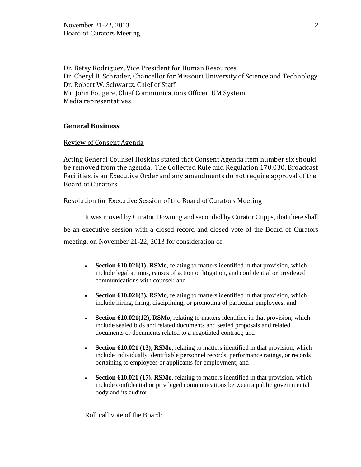Dr. Betsy Rodriguez, Vice President for Human Resources Dr. Cheryl B. Schrader, Chancellor for Missouri University of Science and Technology Dr. Robert W. Schwartz, Chief of Staff Mr. John Fougere, Chief Communications Officer, UM System Media representatives

## **General Business**

## Review of Consent Agenda

Acting General Counsel Hoskins stated that Consent Agenda item number six should be removed from the agenda. The Collected Rule and Regulation 170.030, Broadcast Facilities, is an Executive Order and any amendments do not require approval of the Board of Curators.

## Resolution for Executive Session of the Board of Curators Meeting

It was moved by Curator Downing and seconded by Curator Cupps, that there shall be an executive session with a closed record and closed vote of the Board of Curators meeting, on November 21-22, 2013 for consideration of:

- **Section 610.021(1), RSMo**, relating to matters identified in that provision, which include legal actions, causes of action or litigation, and confidential or privileged communications with counsel; and
- **Section 610.021(3), RSMo**, relating to matters identified in that provision, which include hiring, firing, disciplining, or promoting of particular employees; and
- **Section 610.021(12), RSMo,** relating to matters identified in that provision, which include sealed bids and related documents and sealed proposals and related documents or documents related to a negotiated contract; and
- **Section 610.021 (13), RSMo**, relating to matters identified in that provision, which include individually identifiable personnel records, performance ratings, or records pertaining to employees or applicants for employment; and
- **Section 610.021 (17), RSMo**, relating to matters identified in that provision, which include confidential or privileged communications between a public governmental body and its auditor.

Roll call vote of the Board: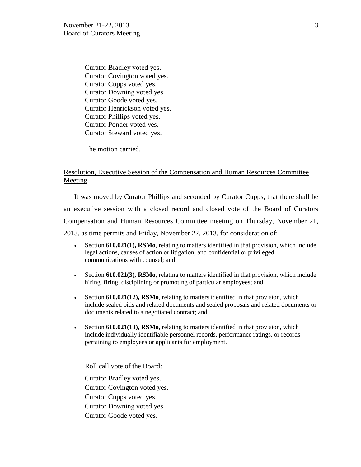Curator Bradley voted yes. Curator Covington voted yes. Curator Cupps voted yes. Curator Downing voted yes. Curator Goode voted yes. Curator Henrickson voted yes. Curator Phillips voted yes. Curator Ponder voted yes. Curator Steward voted yes.

The motion carried.

## Resolution, Executive Session of the Compensation and Human Resources Committee Meeting

It was moved by Curator Phillips and seconded by Curator Cupps, that there shall be an executive session with a closed record and closed vote of the Board of Curators Compensation and Human Resources Committee meeting on Thursday, November 21, 2013, as time permits and Friday, November 22, 2013, for consideration of:

- Section **610.021(1), RSMo**, relating to matters identified in that provision, which include legal actions, causes of action or litigation, and confidential or privileged communications with counsel; and
- Section **610.021(3), RSMo**, relating to matters identified in that provision, which include hiring, firing, disciplining or promoting of particular employees; and
- Section **610.021(12), RSMo**, relating to matters identified in that provision, which include sealed bids and related documents and sealed proposals and related documents or documents related to a negotiated contract; and
- Section **610.021(13), RSMo**, relating to matters identified in that provision, which include individually identifiable personnel records, performance ratings, or records pertaining to employees or applicants for employment.

Roll call vote of the Board:

Curator Bradley voted yes. Curator Covington voted yes. Curator Cupps voted yes. Curator Downing voted yes. Curator Goode voted yes.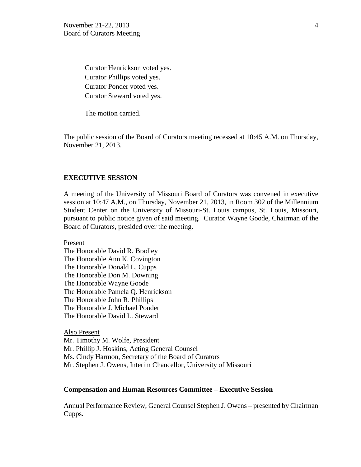Curator Henrickson voted yes. Curator Phillips voted yes. Curator Ponder voted yes. Curator Steward voted yes.

The motion carried.

The public session of the Board of Curators meeting recessed at 10:45 A.M. on Thursday, November 21, 2013.

#### **EXECUTIVE SESSION**

A meeting of the University of Missouri Board of Curators was convened in executive session at 10:47 A.M., on Thursday, November 21, 2013, in Room 302 of the Millennium Student Center on the University of Missouri-St. Louis campus, St. Louis, Missouri, pursuant to public notice given of said meeting. Curator Wayne Goode, Chairman of the Board of Curators, presided over the meeting.

Present

The Honorable David R. Bradley The Honorable Ann K. Covington The Honorable Donald L. Cupps The Honorable Don M. Downing The Honorable Wayne Goode The Honorable Pamela Q. Henrickson The Honorable John R. Phillips The Honorable J. Michael Ponder The Honorable David L. Steward

Also Present Mr. Timothy M. Wolfe, President Mr. Phillip J. Hoskins, Acting General Counsel Ms. Cindy Harmon, Secretary of the Board of Curators Mr. Stephen J. Owens, Interim Chancellor, University of Missouri

#### **Compensation and Human Resources Committee – Executive Session**

Annual Performance Review, General Counsel Stephen J. Owens – presented by Chairman Cupps.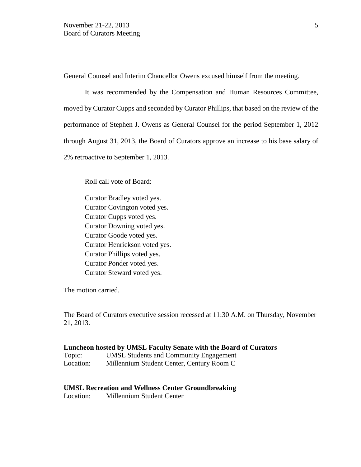General Counsel and Interim Chancellor Owens excused himself from the meeting.

It was recommended by the Compensation and Human Resources Committee, moved by Curator Cupps and seconded by Curator Phillips, that based on the review of the performance of Stephen J. Owens as General Counsel for the period September 1, 2012 through August 31, 2013, the Board of Curators approve an increase to his base salary of 2% retroactive to September 1, 2013.

Roll call vote of Board:

Curator Bradley voted yes. Curator Covington voted yes. Curator Cupps voted yes. Curator Downing voted yes. Curator Goode voted yes. Curator Henrickson voted yes. Curator Phillips voted yes. Curator Ponder voted yes. Curator Steward voted yes.

The motion carried.

The Board of Curators executive session recessed at 11:30 A.M. on Thursday, November 21, 2013.

#### **Luncheon hosted by UMSL Faculty Senate with the Board of Curators**

| Topic:    | <b>UMSL Students and Community Engagement</b> |
|-----------|-----------------------------------------------|
| Location: | Millennium Student Center, Century Room C     |

#### **UMSL Recreation and Wellness Center Groundbreaking**

Location: Millennium Student Center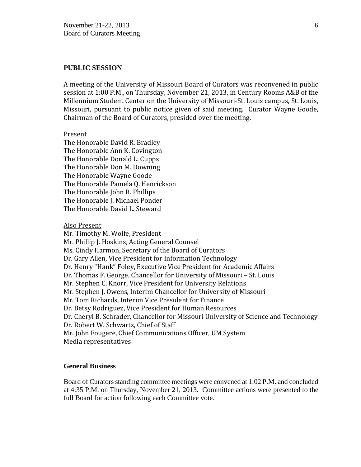#### **PUBLIC SESSION**

A meeting of the University of Missouri Board of Curators was reconvened in public session at 1:00 P.M., on Thursday, November 21, 2013, in Century Rooms A&B of the Millennium Student Center on the University of Missouri-St. Louis campus, St. Louis, Missouri, pursuant to public notice given of said meeting. Curator Wayne Goode, Chairman of the Board of Curators, presided over the meeting.

#### Present

The Honorable David R. Bradley The Honorable Ann K. Covington The Honorable Donald L. Cupps The Honorable Don M. Downing The Honorable Wayne Goode The Honorable Pamela Q. Henrickson The Honorable John R. Phillips The Honorable J. Michael Ponder The Honorable David L. Steward

Also Present

Mr. Timothy M. Wolfe, President Mr. Phillip J. Hoskins, Acting General Counsel Ms. Cindy Harmon, Secretary of the Board of Curators Dr. Gary Allen, Vice President for Information Technology Dr. Henry "Hank" Foley, Executive Vice President for Academic Affairs Dr. Thomas F. George, Chancellor for University of Missouri – St. Louis Mr. Stephen C. Knorr, Vice President for University Relations Mr. Stephen J. Owens, Interim Chancellor for University of Missouri Mr. Tom Richards, Interim Vice President for Finance Dr. Betsy Rodriguez, Vice President for Human Resources Dr. Cheryl B. Schrader, Chancellor for Missouri University of Science and Technology Dr. Robert W. Schwartz, Chief of Staff Mr. John Fougere, Chief Communications Officer, UM System Media representatives

#### **General Business**

Board of Curators standing committee meetings were convened at 1:02 P.M. and concluded at 4:35 P.M. on Thursday, November 21, 2013. Committee actions were presented to the full Board for action following each Committee vote.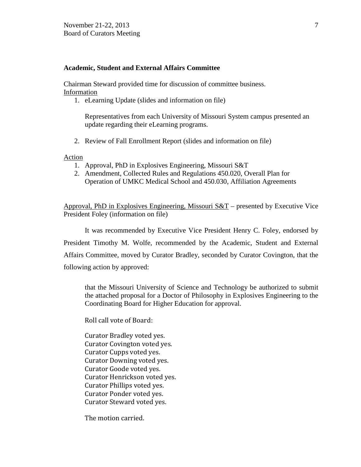## **Academic, Student and External Affairs Committee**

Chairman Steward provided time for discussion of committee business. Information

1. eLearning Update (slides and information on file)

Representatives from each University of Missouri System campus presented an update regarding their eLearning programs.

2. Review of Fall Enrollment Report (slides and information on file)

Action

- 1. Approval, PhD in Explosives Engineering, Missouri S&T
- 2. Amendment, Collected Rules and Regulations 450.020, Overall Plan for Operation of UMKC Medical School and 450.030, Affiliation Agreements

Approval, PhD in Explosives Engineering, Missouri S&T – presented by Executive Vice President Foley (information on file)

It was recommended by Executive Vice President Henry C. Foley, endorsed by President Timothy M. Wolfe, recommended by the Academic, Student and External Affairs Committee, moved by Curator Bradley, seconded by Curator Covington, that the following action by approved:

that the Missouri University of Science and Technology be authorized to submit the attached proposal for a Doctor of Philosophy in Explosives Engineering to the Coordinating Board for Higher Education for approval.

Roll call vote of Board:

Curator Bradley voted yes. Curator Covington voted yes. Curator Cupps voted yes. Curator Downing voted yes. Curator Goode voted yes. Curator Henrickson voted yes. Curator Phillips voted yes. Curator Ponder voted yes. Curator Steward voted yes.

The motion carried.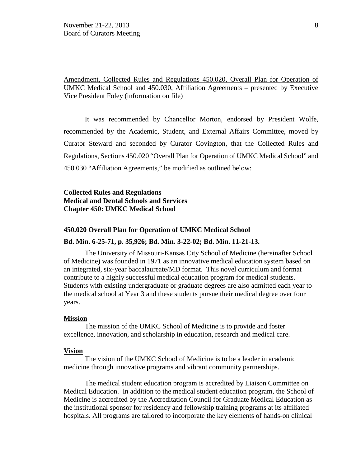Amendment, Collected Rules and Regulations 450.020, Overall Plan for Operation of UMKC Medical School and 450.030, Affiliation Agreements – presented by Executive Vice President Foley (information on file)

It was recommended by Chancellor Morton, endorsed by President Wolfe, recommended by the Academic, Student, and External Affairs Committee, moved by Curator Steward and seconded by Curator Covington, that the Collected Rules and Regulations, Sections 450.020 "Overall Plan for Operation of UMKC Medical School" and 450.030 "Affiliation Agreements," be modified as outlined below:

## **Collected Rules and Regulations Medical and Dental Schools and Services Chapter 450: UMKC Medical School**

#### **450.020 Overall Plan for Operation of UMKC Medical School**

#### **Bd. Min. 6-25-71, p. 35,926; Bd. Min. 3-22-02; Bd. Min. 11-21-13.**

The University of Missouri-Kansas City School of Medicine (hereinafter School of Medicine) was founded in 1971 as an innovative medical education system based on an integrated, six-year baccalaureate/MD format. This novel curriculum and format contribute to a highly successful medical education program for medical students. Students with existing undergraduate or graduate degrees are also admitted each year to the medical school at Year 3 and these students pursue their medical degree over four years.

#### **Mission**

The mission of the UMKC School of Medicine is to provide and foster excellence, innovation, and scholarship in education, research and medical care.

#### **Vision**

The vision of the UMKC School of Medicine is to be a leader in academic medicine through innovative programs and vibrant community partnerships.

The medical student education program is accredited by Liaison Committee on Medical Education. In addition to the medical student education program, the School of Medicine is accredited by the Accreditation Council for Graduate Medical Education as the institutional sponsor for residency and fellowship training programs at its affiliated hospitals. All programs are tailored to incorporate the key elements of hands-on clinical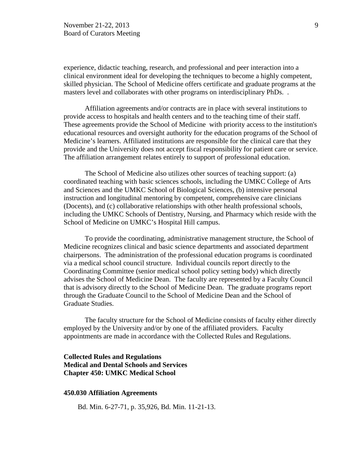experience, didactic teaching, research, and professional and peer interaction into a clinical environment ideal for developing the techniques to become a highly competent, skilled physician. The School of Medicine offers certificate and graduate programs at the masters level and collaborates with other programs on interdisciplinary PhDs. .

Affiliation agreements and/or contracts are in place with several institutions to provide access to hospitals and health centers and to the teaching time of their staff. These agreements provide the School of Medicine with priority access to the institution's educational resources and oversight authority for the education programs of the School of Medicine's learners. Affiliated institutions are responsible for the clinical care that they provide and the University does not accept fiscal responsibility for patient care or service. The affiliation arrangement relates entirely to support of professional education.

The School of Medicine also utilizes other sources of teaching support: (a) coordinated teaching with basic sciences schools, including the UMKC College of Arts and Sciences and the UMKC School of Biological Sciences, (b) intensive personal instruction and longitudinal mentoring by competent, comprehensive care clinicians (Docents), and (c) collaborative relationships with other health professional schools, including the UMKC Schools of Dentistry, Nursing, and Pharmacy which reside with the School of Medicine on UMKC's Hospital Hill campus.

To provide the coordinating, administrative management structure, the School of Medicine recognizes clinical and basic science departments and associated department chairpersons. The administration of the professional education programs is coordinated via a medical school council structure. Individual councils report directly to the Coordinating Committee (senior medical school policy setting body) which directly advises the School of Medicine Dean. The faculty are represented by a Faculty Council that is advisory directly to the School of Medicine Dean. The graduate programs report through the Graduate Council to the School of Medicine Dean and the School of Graduate Studies.

The faculty structure for the School of Medicine consists of faculty either directly employed by the University and/or by one of the affiliated providers. Faculty appointments are made in accordance with the Collected Rules and Regulations.

# **Collected Rules and Regulations Medical and Dental Schools and Services Chapter 450: UMKC Medical School**

#### **450.030 Affiliation Agreements**

Bd. Min. 6-27-71, p. 35,926, Bd. Min. 11-21-13.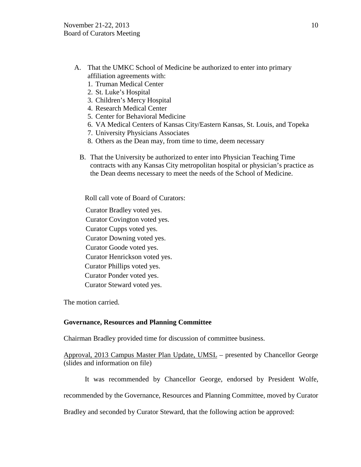- A. That the UMKC School of Medicine be authorized to enter into primary affiliation agreements with:
	- 1. Truman Medical Center
	- 2. St. Luke's Hospital
	- 3. Children's Mercy Hospital
	- 4. Research Medical Center
	- 5. Center for Behavioral Medicine
	- 6. VA Medical Centers of Kansas City/Eastern Kansas, St. Louis, and Topeka
	- 7. University Physicians Associates
	- 8. Others as the Dean may, from time to time, deem necessary
	- B. That the University be authorized to enter into Physician Teaching Time contracts with any Kansas City metropolitan hospital or physician's practice as the Dean deems necessary to meet the needs of the School of Medicine.

Roll call vote of Board of Curators:

- Curator Bradley voted yes.
- Curator Covington voted yes.
- Curator Cupps voted yes.
- Curator Downing voted yes.
- Curator Goode voted yes.
- Curator Henrickson voted yes.
- Curator Phillips voted yes.
- Curator Ponder voted yes.
- Curator Steward voted yes.

The motion carried.

# **Governance, Resources and Planning Committee**

Chairman Bradley provided time for discussion of committee business.

Approval, 2013 Campus Master Plan Update, UMSL – presented by Chancellor George (slides and information on file)

It was recommended by Chancellor George, endorsed by President Wolfe,

recommended by the Governance, Resources and Planning Committee, moved by Curator

Bradley and seconded by Curator Steward, that the following action be approved: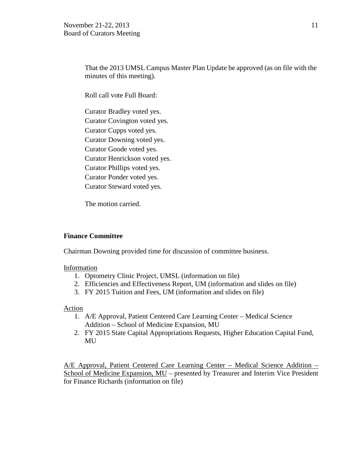That the 2013 UMSL Campus Master Plan Update be approved (as on file with the minutes of this meeting).

Roll call vote Full Board:

Curator Bradley voted yes. Curator Covington voted yes. Curator Cupps voted yes. Curator Downing voted yes. Curator Goode voted yes. Curator Henrickson voted yes. Curator Phillips voted yes. Curator Ponder voted yes. Curator Steward voted yes.

The motion carried.

## **Finance Committee**

Chairman Downing provided time for discussion of committee business.

#### Information

- 1. Optometry Clinic Project, UMSL (information on file)
- 2. Efficiencies and Effectiveness Report, UM (information and slides on file)
- 3. FY 2015 Tuition and Fees, UM (information and slides on file)

## Action

- 1. A/E Approval, Patient Centered Care Learning Center Medical Science Addition – School of Medicine Expansion, MU
- 2. FY 2015 State Capital Appropriations Requests, Higher Education Capital Fund, MU

A/E Approval, Patient Centered Care Learning Center – Medical Science Addition – School of Medicine Expansion, MU – presented by Treasurer and Interim Vice President for Finance Richards (information on file)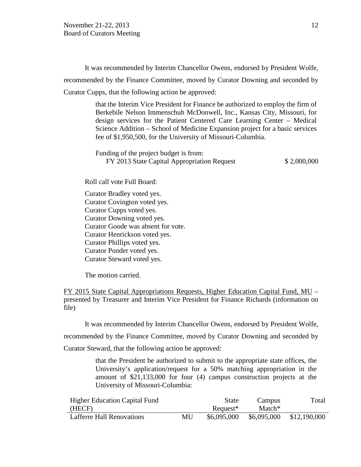It was recommended by Interim Chancellor Owens, endorsed by President Wolfe, recommended by the Finance Committee, moved by Curator Downing and seconded by Curator Cupps, that the following action be approved:

> that the Interim Vice President for Finance be authorized to employ the firm of Berkebile Nelson Immenschuh McDonwell, Inc., Kansas City, Missouri, for design services for the Patient Centered Care Learning Center – Medical Science Addition – School of Medicine Expansion project for a basic services fee of \$1,950,500, for the University of Missouri-Columbia.

> Funding of the project budget is from: FY 2013 State Capital Appropriation Request \$ 2,000,000

Roll call vote Full Board:

Curator Bradley voted yes. Curator Covington voted yes. Curator Cupps voted yes. Curator Downing voted yes. Curator Goode was absent for vote. Curator Henrickson voted yes. Curator Phillips voted yes. Curator Ponder voted yes. Curator Steward voted yes.

The motion carried.

FY 2015 State Capital Appropriations Requests, Higher Education Capital Fund, MU – presented by Treasurer and Interim Vice President for Finance Richards (information on file)

It was recommended by Interim Chancellor Owens, endorsed by President Wolfe,

recommended by the Finance Committee, moved by Curator Downing and seconded by

Curator Steward, that the following action be approved:

that the President be authorized to submit to the appropriate state offices, the University's application/request for a 50% matching appropriation in the amount of \$21,133,000 for four (4) campus construction projects at the University of Missouri-Columbia:

| <b>Higher Education Capital Fund</b> |    | <b>State</b> | Campus             | Total        |
|--------------------------------------|----|--------------|--------------------|--------------|
| (HECF)                               |    | Request*     | Match <sup>*</sup> |              |
| <b>Lafferre Hall Renovations</b>     | MU | \$6,095,000  | \$6,095,000        | \$12,190,000 |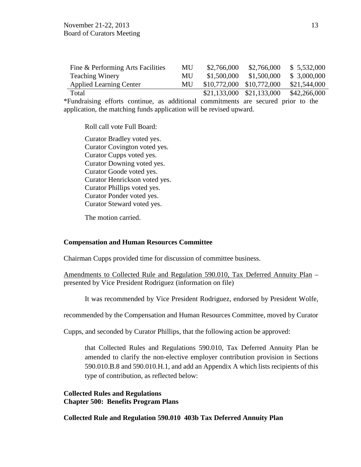| Fine & Performing Arts Facilities | MU        | \$2,766,000               | \$2,766,000 | \$5,532,000  |
|-----------------------------------|-----------|---------------------------|-------------|--------------|
| <b>Teaching Winery</b>            | MU.       | \$1,500,000               | \$1,500,000 | \$3,000,000  |
| <b>Applied Learning Center</b>    | <b>MU</b> | \$10,772,000 \$10,772,000 |             | \$21,544,000 |
| Total                             |           | \$21,133,000 \$21,133,000 |             | \$42,266,000 |

\*Fundraising efforts continue, as additional commitments are secured prior to the application, the matching funds application will be revised upward.

Roll call vote Full Board:

Curator Bradley voted yes. Curator Covington voted yes. Curator Cupps voted yes. Curator Downing voted yes. Curator Goode voted yes. Curator Henrickson voted yes. Curator Phillips voted yes. Curator Ponder voted yes. Curator Steward voted yes.

The motion carried.

## **Compensation and Human Resources Committee**

Chairman Cupps provided time for discussion of committee business.

Amendments to Collected Rule and Regulation 590.010, Tax Deferred Annuity Plan – presented by Vice President Rodriguez (information on file)

It was recommended by Vice President Rodriguez, endorsed by President Wolfe,

recommended by the Compensation and Human Resources Committee, moved by Curator

Cupps, and seconded by Curator Phillips, that the following action be approved:

that Collected Rules and Regulations 590.010, Tax Deferred Annuity Plan be amended to clarify the non-elective employer contribution provision in Sections 590.010.B.8 and 590.010.H.1, and add an Appendix A which lists recipients of this type of contribution, as reflected below:

## **Collected Rules and Regulations Chapter 500: Benefits Program Plans**

**Collected Rule and Regulation 590.010 403b Tax Deferred Annuity Plan**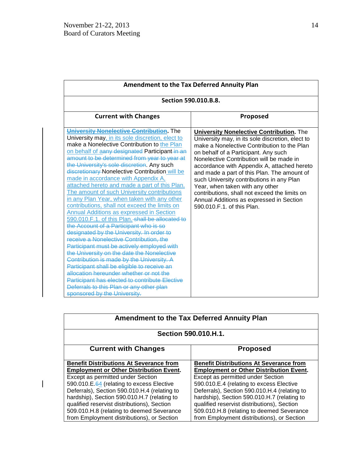$\mathbf{I}$ 

| <b>Amendment to the Tax Deferred Annuity Plan</b>                                                                                                                                                                                                                                                                                                                                                                                                                                                                                                                                                                                                                                                                                                                                                                                                                                                                                                                                                                                                                                                                                                                                              |                                                                                                                                                                                                                                                                                                                                                                                                                                                                                                                                                 |  |  |
|------------------------------------------------------------------------------------------------------------------------------------------------------------------------------------------------------------------------------------------------------------------------------------------------------------------------------------------------------------------------------------------------------------------------------------------------------------------------------------------------------------------------------------------------------------------------------------------------------------------------------------------------------------------------------------------------------------------------------------------------------------------------------------------------------------------------------------------------------------------------------------------------------------------------------------------------------------------------------------------------------------------------------------------------------------------------------------------------------------------------------------------------------------------------------------------------|-------------------------------------------------------------------------------------------------------------------------------------------------------------------------------------------------------------------------------------------------------------------------------------------------------------------------------------------------------------------------------------------------------------------------------------------------------------------------------------------------------------------------------------------------|--|--|
| <b>Section 590.010.B.8.</b>                                                                                                                                                                                                                                                                                                                                                                                                                                                                                                                                                                                                                                                                                                                                                                                                                                                                                                                                                                                                                                                                                                                                                                    |                                                                                                                                                                                                                                                                                                                                                                                                                                                                                                                                                 |  |  |
| <b>Current with Changes</b>                                                                                                                                                                                                                                                                                                                                                                                                                                                                                                                                                                                                                                                                                                                                                                                                                                                                                                                                                                                                                                                                                                                                                                    | Proposed                                                                                                                                                                                                                                                                                                                                                                                                                                                                                                                                        |  |  |
| University Nonelective Contribution. The<br>University may, in its sole discretion, elect to<br>make a Nonelective Contribution to the Plan<br>on behalf of aany designated Participant-in an<br>amount to be determined from year to year at<br>the University's sole discretion. Any such<br>discretionary Nonelective Contribution will be<br>made in accordance with Appendix A,<br>attached hereto and made a part of this Plan.<br>The amount of such University contributions<br>in any Plan Year, when taken with any other<br>contributions, shall not exceed the limits on<br>Annual Additions as expressed in Section<br>590.010.F.1. of this Plan. shall be allocated to<br>the Account of a Participant who is so<br>designated by the University. In order to<br>receive a Nonelective Contribution, the<br>Participant must be actively employed with<br>the University on the date the Nonelective<br>Contribution is made by the University. A<br>Participant shall be eligible to receive an<br>allocation hereunder whether or not the<br><b>Participant has elected to contribute Elective</b><br>Deferrals to this Plan or any other plan<br>sponsored by the University. | <b>University Nonelective Contribution.</b> The<br>University may, in its sole discretion, elect to<br>make a Nonelective Contribution to the Plan<br>on behalf of a Participant. Any such<br>Nonelective Contribution will be made in<br>accordance with Appendix A, attached hereto<br>and made a part of this Plan. The amount of<br>such University contributions in any Plan<br>Year, when taken with any other<br>contributions, shall not exceed the limits on<br>Annual Additions as expressed in Section<br>590,010 F.1, of this Plan. |  |  |

| <b>Amendment to the Tax Deferred Annuity Plan</b>                                                                                                                                                                                                                                                                                                                                                                           |                                                                                                                                                                                                                                                                                                                                                                                                                            |  |
|-----------------------------------------------------------------------------------------------------------------------------------------------------------------------------------------------------------------------------------------------------------------------------------------------------------------------------------------------------------------------------------------------------------------------------|----------------------------------------------------------------------------------------------------------------------------------------------------------------------------------------------------------------------------------------------------------------------------------------------------------------------------------------------------------------------------------------------------------------------------|--|
| <b>Section 590.010.H.1.</b>                                                                                                                                                                                                                                                                                                                                                                                                 |                                                                                                                                                                                                                                                                                                                                                                                                                            |  |
| <b>Current with Changes</b>                                                                                                                                                                                                                                                                                                                                                                                                 | <b>Proposed</b>                                                                                                                                                                                                                                                                                                                                                                                                            |  |
| <b>Benefit Distributions At Severance from</b><br><b>Employment or Other Distribution Event.</b><br>Except as permitted under Section<br>590.010.E.64 (relating to excess Elective<br>Deferrals), Section 590.010.H.4 (relating to<br>hardship), Section 590.010.H.7 (relating to<br>qualified reservist distributions), Section<br>509.010.H.8 (relating to deemed Severance<br>from Employment distributions), or Section | <b>Benefit Distributions At Severance from</b><br><b>Employment or Other Distribution Event.</b><br>Except as permitted under Section<br>590.010.E.4 (relating to excess Elective<br>Deferrals), Section 590.010.H.4 (relating to<br>hardship), Section 590.010.H.7 (relating to<br>qualified reservist distributions), Section<br>509.010.H.8 (relating to deemed Severance<br>from Employment distributions), or Section |  |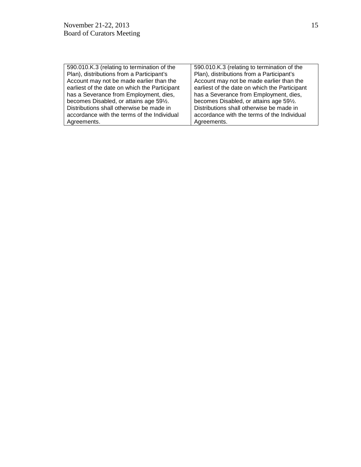| 590.010.K.3 (relating to termination of the   | 590.010.K.3 (relating to termination of the   |
|-----------------------------------------------|-----------------------------------------------|
| Plan), distributions from a Participant's     | Plan), distributions from a Participant's     |
| Account may not be made earlier than the      | Account may not be made earlier than the      |
| earliest of the date on which the Participant | earliest of the date on which the Participant |
| has a Severance from Employment, dies,        | has a Severance from Employment, dies,        |
| becomes Disabled, or attains age 591/2.       | becomes Disabled, or attains age 591/2.       |
| Distributions shall otherwise be made in      | Distributions shall otherwise be made in      |
| accordance with the terms of the Individual   | accordance with the terms of the Individual   |
| Agreements.                                   | Agreements.                                   |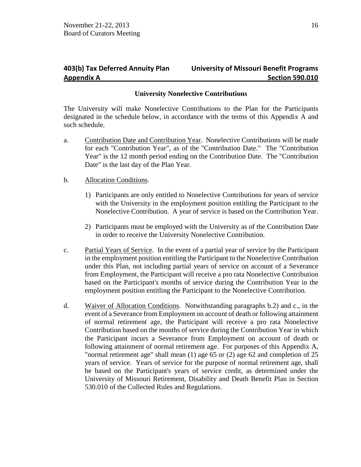# **403(b) Tax Deferred Annuity Plan University of Missouri Benefit Programs Appendix A Section 590.010**

## **University Nonelective Contributions**

The University will make Nonelective Contributions to the Plan for the Participants designated in the schedule below, in accordance with the terms of this Appendix A and such schedule.

a. Contribution Date and Contribution Year. Nonelective Contributions will be made for each "Contribution Year", as of the "Contribution Date." The "Contribution Year" is the 12 month period ending on the Contribution Date. The "Contribution Date" is the last day of the Plan Year.

## b. Allocation Conditions.

- 1) Participants are only entitled to Nonelective Contributions for years of service with the University in the employment position entitling the Participant to the Nonelective Contribution. A year of service is based on the Contribution Year.
- 2) Participants must be employed with the University as of the Contribution Date in order to receive the University Nonelective Contribution.
- c. Partial Years of Service. In the event of a partial year of service by the Participant in the employment position entitling the Participant to the Nonelective Contribution under this Plan, not including partial years of service on account of a Severance from Employment, the Participant will receive a pro rata Nonelective Contribution based on the Participant's months of service during the Contribution Year in the employment position entitling the Participant to the Nonelective Contribution.
- d. Waiver of Allocation Conditions. Notwithstanding paragraphs b.2) and c., in the event of a Severance from Employment on account of death or following attainment of normal retirement age, the Participant will receive a pro rata Nonelective Contribution based on the months of service during the Contribution Year in which the Participant incurs a Severance from Employment on account of death or following attainment of normal retirement age. For purposes of this Appendix A, "normal retirement age" shall mean (1) age 65 or (2) age 62 and completion of 25 years of service. Years of service for the purpose of normal retirement age, shall be based on the Participant's years of service credit, as determined under the University of Missouri Retirement, Disability and Death Benefit Plan in Section 530.010 of the Collected Rules and Regulations.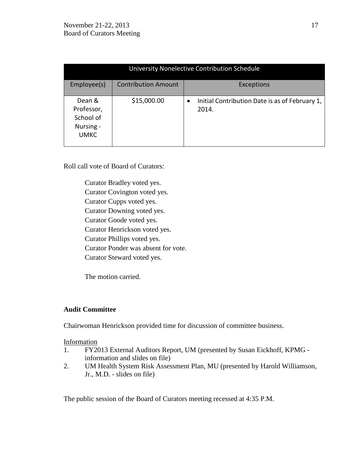| University Nonelective Contribution Schedule                  |                            |                                                                      |
|---------------------------------------------------------------|----------------------------|----------------------------------------------------------------------|
| Employee(s)                                                   | <b>Contribution Amount</b> | Exceptions                                                           |
| Dean &<br>Professor,<br>School of<br>Nursing -<br><b>UMKC</b> | \$15,000.00                | Initial Contribution Date is as of February 1,<br>$\bullet$<br>2014. |

Roll call vote of Board of Curators:

Curator Bradley voted yes. Curator Covington voted yes. Curator Cupps voted yes. Curator Downing voted yes. Curator Goode voted yes. Curator Henrickson voted yes. Curator Phillips voted yes. Curator Ponder was absent for vote. Curator Steward voted yes.

The motion carried.

# **Audit Committee**

Chairwoman Henrickson provided time for discussion of committee business.

## Information

- 1. FY2013 External Auditors Report, UM (presented by Susan Eickhoff, KPMG information and slides on file)
- 2. UM Health System Risk Assessment Plan, MU (presented by Harold Williamson, Jr., M.D. - slides on file)

The public session of the Board of Curators meeting recessed at 4:35 P.M.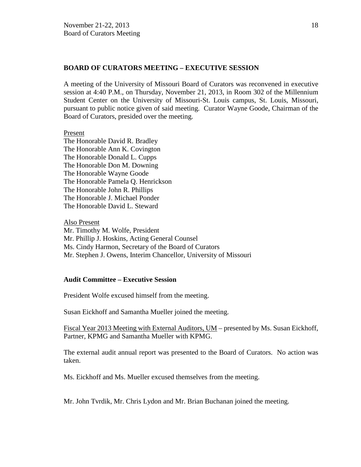## **BOARD OF CURATORS MEETING – EXECUTIVE SESSION**

A meeting of the University of Missouri Board of Curators was reconvened in executive session at 4:40 P.M., on Thursday, November 21, 2013, in Room 302 of the Millennium Student Center on the University of Missouri-St. Louis campus, St. Louis, Missouri, pursuant to public notice given of said meeting. Curator Wayne Goode, Chairman of the Board of Curators, presided over the meeting.

#### Present

The Honorable David R. Bradley The Honorable Ann K. Covington The Honorable Donald L. Cupps The Honorable Don M. Downing The Honorable Wayne Goode The Honorable Pamela Q. Henrickson The Honorable John R. Phillips The Honorable J. Michael Ponder The Honorable David L. Steward

Also Present Mr. Timothy M. Wolfe, President Mr. Phillip J. Hoskins, Acting General Counsel Ms. Cindy Harmon, Secretary of the Board of Curators Mr. Stephen J. Owens, Interim Chancellor, University of Missouri

## **Audit Committee – Executive Session**

President Wolfe excused himself from the meeting.

Susan Eickhoff and Samantha Mueller joined the meeting.

Fiscal Year 2013 Meeting with External Auditors, UM – presented by Ms. Susan Eickhoff, Partner, KPMG and Samantha Mueller with KPMG.

The external audit annual report was presented to the Board of Curators. No action was taken.

Ms. Eickhoff and Ms. Mueller excused themselves from the meeting.

Mr. John Tvrdik, Mr. Chris Lydon and Mr. Brian Buchanan joined the meeting.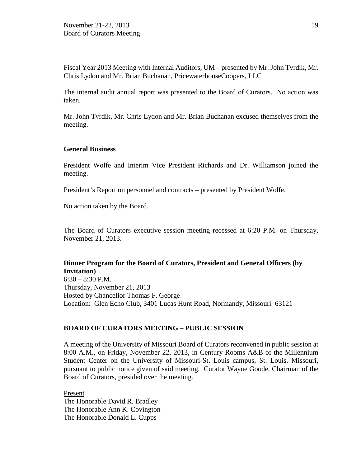Fiscal Year 2013 Meeting with Internal Auditors, UM – presented by Mr. John Tvrdik, Mr. Chris Lydon and Mr. Brian Buchanan, PricewaterhouseCoopers, LLC

The internal audit annual report was presented to the Board of Curators. No action was taken.

Mr. John Tvrdik, Mr. Chris Lydon and Mr. Brian Buchanan excused themselves from the meeting.

#### **General Business**

President Wolfe and Interim Vice President Richards and Dr. Williamson joined the meeting.

President's Report on personnel and contracts – presented by President Wolfe.

No action taken by the Board.

The Board of Curators executive session meeting recessed at 6:20 P.M. on Thursday, November 21, 2013.

# **Dinner Program for the Board of Curators, President and General Officers (by Invitation)**

 $6:30 - 8:30$  P.M. Thursday, November 21, 2013 Hosted by Chancellor Thomas F. George Location: Glen Echo Club, 3401 Lucas Hunt Road, Normandy, Missouri 63121

## **BOARD OF CURATORS MEETING – PUBLIC SESSION**

A meeting of the University of Missouri Board of Curators reconvened in public session at 8:00 A.M., on Friday, November 22, 2013, in Century Rooms A&B of the Millennium Student Center on the University of Missouri-St. Louis campus, St. Louis, Missouri, pursuant to public notice given of said meeting. Curator Wayne Goode, Chairman of the Board of Curators, presided over the meeting.

Present The Honorable David R. Bradley The Honorable Ann K. Covington The Honorable Donald L. Cupps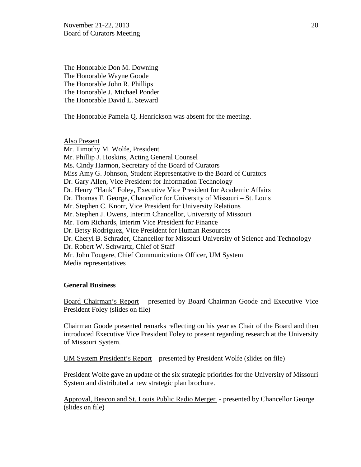November 21-22, 2013 20 Board of Curators Meeting

The Honorable Don M. Downing The Honorable Wayne Goode The Honorable John R. Phillips The Honorable J. Michael Ponder The Honorable David L. Steward

The Honorable Pamela Q. Henrickson was absent for the meeting.

Also Present Mr. Timothy M. Wolfe, President Mr. Phillip J. Hoskins, Acting General Counsel Ms. Cindy Harmon, Secretary of the Board of Curators Miss Amy G. Johnson, Student Representative to the Board of Curators Dr. Gary Allen, Vice President for Information Technology Dr. Henry "Hank" Foley, Executive Vice President for Academic Affairs Dr. Thomas F. George, Chancellor for University of Missouri – St. Louis Mr. Stephen C. Knorr, Vice President for University Relations Mr. Stephen J. Owens, Interim Chancellor, University of Missouri Mr. Tom Richards, Interim Vice President for Finance Dr. Betsy Rodriguez, Vice President for Human Resources Dr. Cheryl B. Schrader, Chancellor for Missouri University of Science and Technology Dr. Robert W. Schwartz, Chief of Staff Mr. John Fougere, Chief Communications Officer, UM System Media representatives

#### **General Business**

Board Chairman's Report – presented by Board Chairman Goode and Executive Vice President Foley (slides on file)

Chairman Goode presented remarks reflecting on his year as Chair of the Board and then introduced Executive Vice President Foley to present regarding research at the University of Missouri System.

UM System President's Report – presented by President Wolfe (slides on file)

President Wolfe gave an update of the six strategic priorities for the University of Missouri System and distributed a new strategic plan brochure.

Approval, Beacon and St. Louis Public Radio Merger - presented by Chancellor George (slides on file)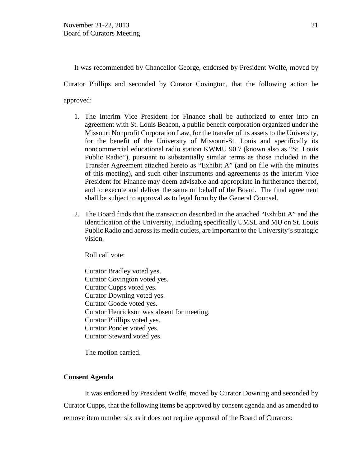It was recommended by Chancellor George, endorsed by President Wolfe, moved by

Curator Phillips and seconded by Curator Covington, that the following action be

approved:

- 1. The Interim Vice President for Finance shall be authorized to enter into an agreement with St. Louis Beacon, a public benefit corporation organized under the Missouri Nonprofit Corporation Law, for the transfer of its assets to the University, for the benefit of the University of Missouri-St. Louis and specifically its noncommercial educational radio station KWMU 90.7 (known also as "St. Louis Public Radio"), pursuant to substantially similar terms as those included in the Transfer Agreement attached hereto as "Exhibit A" (and on file with the minutes of this meeting), and such other instruments and agreements as the Interim Vice President for Finance may deem advisable and appropriate in furtherance thereof, and to execute and deliver the same on behalf of the Board. The final agreement shall be subject to approval as to legal form by the General Counsel.
- 2. The Board finds that the transaction described in the attached "Exhibit A" and the identification of the University, including specifically UMSL and MU on St. Louis Public Radio and across its media outlets, are important to the University's strategic vision.

Roll call vote:

Curator Bradley voted yes. Curator Covington voted yes. Curator Cupps voted yes. Curator Downing voted yes. Curator Goode voted yes. Curator Henrickson was absent for meeting. Curator Phillips voted yes. Curator Ponder voted yes. Curator Steward voted yes.

The motion carried.

# **Consent Agenda**

It was endorsed by President Wolfe, moved by Curator Downing and seconded by Curator Cupps, that the following items be approved by consent agenda and as amended to remove item number six as it does not require approval of the Board of Curators: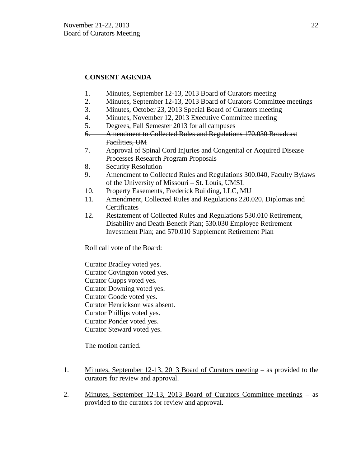# **CONSENT AGENDA**

- 1. Minutes, September 12-13, 2013 Board of Curators meeting
- 2. Minutes, September 12-13, 2013 Board of Curators Committee meetings
- 3. Minutes, October 23, 2013 Special Board of Curators meeting
- 4. Minutes, November 12, 2013 Executive Committee meeting
- 5. Degrees, Fall Semester 2013 for all campuses
- 6. Amendment to Collected Rules and Regulations 170.030 Broadcast Facilities, UM
- 7. Approval of Spinal Cord Injuries and Congenital or Acquired Disease Processes Research Program Proposals
- 8. Security Resolution
- 9. Amendment to Collected Rules and Regulations 300.040, Faculty Bylaws of the University of Missouri – St. Louis, UMSL
- 10. Property Easements, Frederick Building, LLC, MU
- 11. Amendment, Collected Rules and Regulations 220.020, Diplomas and **Certificates**
- 12. Restatement of Collected Rules and Regulations 530.010 Retirement, Disability and Death Benefit Plan; 530.030 Employee Retirement Investment Plan; and 570.010 Supplement Retirement Plan

Roll call vote of the Board:

Curator Bradley voted yes. Curator Covington voted yes. Curator Cupps voted yes. Curator Downing voted yes. Curator Goode voted yes. Curator Henrickson was absent. Curator Phillips voted yes. Curator Ponder voted yes. Curator Steward voted yes.

The motion carried.

- 1. Minutes, September 12-13, 2013 Board of Curators meeting as provided to the curators for review and approval.
- 2. Minutes, September 12-13, 2013 Board of Curators Committee meetings as provided to the curators for review and approval.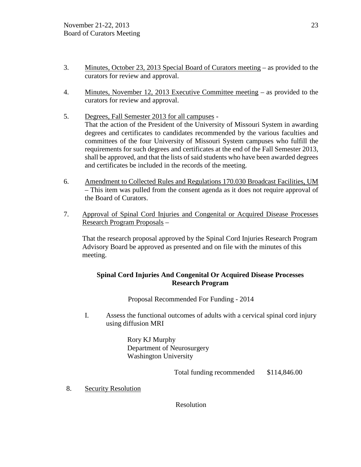- 3. Minutes, October 23, 2013 Special Board of Curators meeting as provided to the curators for review and approval.
- 4. Minutes, November 12, 2013 Executive Committee meeting as provided to the curators for review and approval.
- 5. Degrees, Fall Semester 2013 for all campuses That the action of the President of the University of Missouri System in awarding degrees and certificates to candidates recommended by the various faculties and committees of the four University of Missouri System campuses who fulfill the requirements for such degrees and certificates at the end of the Fall Semester 2013, shall be approved, and that the lists of said students who have been awarded degrees and certificates be included in the records of the meeting.
- 6. Amendment to Collected Rules and Regulations 170.030 Broadcast Facilities, UM – This item was pulled from the consent agenda as it does not require approval of the Board of Curators.
- 7. Approval of Spinal Cord Injuries and Congenital or Acquired Disease Processes Research Program Proposals –

That the research proposal approved by the Spinal Cord Injuries Research Program Advisory Board be approved as presented and on file with the minutes of this meeting.

# **Spinal Cord Injuries And Congenital Or Acquired Disease Processes Research Program**

Proposal Recommended For Funding - 2014

I. Assess the functional outcomes of adults with a cervical spinal cord injury using diffusion MRI

> Rory KJ Murphy Department of Neurosurgery Washington University

> > Total funding recommended \$114,846.00

8. Security Resolution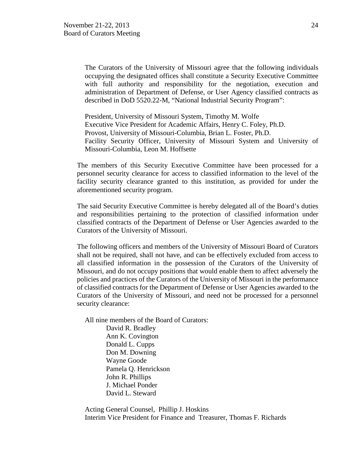The Curators of the University of Missouri agree that the following individuals occupying the designated offices shall constitute a Security Executive Committee with full authority and responsibility for the negotiation, execution and administration of Department of Defense, or User Agency classified contracts as described in DoD 5520.22-M, "National Industrial Security Program":

President, University of Missouri System, Timothy M. Wolfe Executive Vice President for Academic Affairs, Henry C. Foley, Ph.D. Provost, University of Missouri-Columbia, Brian L. Foster, Ph.D. Facility Security Officer, University of Missouri System and University of Missouri-Columbia, Leon M. Hoffsette

The members of this Security Executive Committee have been processed for a personnel security clearance for access to classified information to the level of the facility security clearance granted to this institution, as provided for under the aforementioned security program.

The said Security Executive Committee is hereby delegated all of the Board's duties and responsibilities pertaining to the protection of classified information under classified contracts of the Department of Defense or User Agencies awarded to the Curators of the University of Missouri.

The following officers and members of the University of Missouri Board of Curators shall not be required, shall not have, and can be effectively excluded from access to all classified information in the possession of the Curators of the University of Missouri, and do not occupy positions that would enable them to affect adversely the policies and practices of the Curators of the University of Missouri in the performance of classified contracts for the Department of Defense or User Agencies awarded to the Curators of the University of Missouri, and need not be processed for a personnel security clearance:

All nine members of the Board of Curators:

 [David R. Bradley](http://www.umsystem.edu/curators/members/bradleyd) Ann K. Covington [Donald L. Cupps](http://www.umsystem.edu/curators/members/cuppsd) [Don M. Downing](http://www.umsystem.edu/curators/members/downingd) [Wayne Goode](http://www.umsystem.edu/curators/members/goodew) Pamela Q. Henrickson John R. Phillips J. Michael Ponder [David L. Steward](http://www.umsystem.edu/curators/members/stewardd)

Acting General Counsel, Phillip J. Hoskins Interim Vice President for Finance and Treasurer, Thomas F. Richards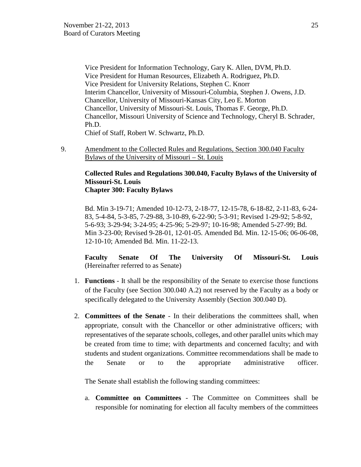Vice President for Information Technology, Gary K. Allen, DVM, Ph.D. Vice President for Human Resources, Elizabeth A. Rodriguez, Ph.D. Vice President for University Relations, Stephen C. Knorr Interim Chancellor, University of Missouri-Columbia, Stephen J. Owens, J.D. Chancellor, University of Missouri-Kansas City, Leo E. Morton Chancellor, University of Missouri-St. Louis, Thomas F. George, Ph.D. Chancellor, Missouri University of Science and Technology, Cheryl B. Schrader, Ph.D. Chief of Staff, Robert W. Schwartz, Ph.D.

9. Amendment to the Collected Rules and Regulations, Section 300.040 Faculty Bylaws of the University of Missouri – St. Louis

#### **Collected Rules and Regulations 300.040, Faculty Bylaws of the University of Missouri-St. Louis Chapter 300: Faculty Bylaws**

Bd. Min 3-19-71; Amended 10-12-73, 2-18-77, 12-15-78, 6-18-82, 2-11-83, 6-24- 83, 5-4-84, 5-3-85, 7-29-88, 3-10-89, 6-22-90; 5-3-91; Revised 1-29-92; 5-8-92, 5-6-93; 3-29-94; 3-24-95; 4-25-96; 5-29-97; 10-16-98; Amended 5-27-99; Bd. Min 3-23-00; Revised 9-28-01, 12-01-05. Amended Bd. Min. 12-15-06; 06-06-08, 12-10-10; Amended Bd. Min. 11-22-13.

**Faculty Senate Of The University Of Missouri-St. Louis** (Hereinafter referred to as Senate)

- 1. **Functions** It shall be the responsibility of the Senate to exercise those functions of the Faculty (see Section 300.040 A.2) not reserved by the Faculty as a body or specifically delegated to the University Assembly (Section 300.040 D).
- 2. **Committees of the Senate** In their deliberations the committees shall, when appropriate, consult with the Chancellor or other administrative officers; with representatives of the separate schools, colleges, and other parallel units which may be created from time to time; with departments and concerned faculty; and with students and student organizations. Committee recommendations shall be made to the Senate or to the appropriate administrative officer.

The Senate shall establish the following standing committees:

a. **Committee on Committees** - The Committee on Committees shall be responsible for nominating for election all faculty members of the committees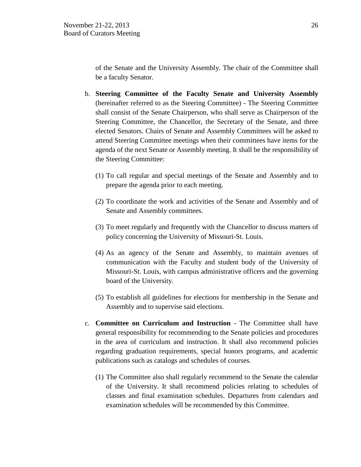of the Senate and the University Assembly. The chair of the Committee shall be a faculty Senator.

- b. **Steering Committee of the Faculty Senate and University Assembly** (hereinafter referred to as the Steering Committee) - The Steering Committee shall consist of the Senate Chairperson, who shall serve as Chairperson of the Steering Committee, the Chancellor, the Secretary of the Senate, and three elected Senators. Chairs of Senate and Assembly Committees will be asked to attend Steering Committee meetings when their committees have items for the agenda of the next Senate or Assembly meeting. It shall be the responsibility of the Steering Committee:
	- (1) To call regular and special meetings of the Senate and Assembly and to prepare the agenda prior to each meeting.
	- (2) To coordinate the work and activities of the Senate and Assembly and of Senate and Assembly committees.
	- (3) To meet regularly and frequently with the Chancellor to discuss matters of policy concerning the University of Missouri-St. Louis.
	- (4) As an agency of the Senate and Assembly, to maintain avenues of communication with the Faculty and student body of the University of Missouri-St. Louis, with campus administrative officers and the governing board of the University.
	- (5) To establish all guidelines for elections for membership in the Senate and Assembly and to supervise said elections.
- c. **Committee on Curriculum and Instruction** The Committee shall have general responsibility for recommending to the Senate policies and procedures in the area of curriculum and instruction. It shall also recommend policies regarding graduation requirements, special honors programs, and academic publications such as catalogs and schedules of courses.
	- (1) The Committee also shall regularly recommend to the Senate the calendar of the University. It shall recommend policies relating to schedules of classes and final examination schedules. Departures from calendars and examination schedules will be recommended by this Committee.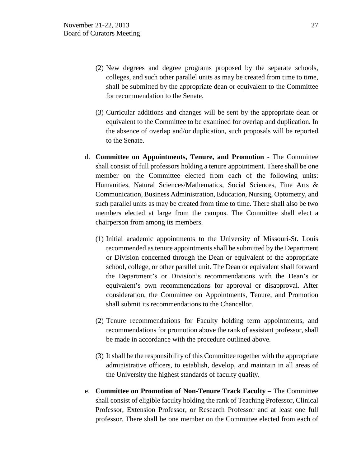- (2) New degrees and degree programs proposed by the separate schools, colleges, and such other parallel units as may be created from time to time, shall be submitted by the appropriate dean or equivalent to the Committee for recommendation to the Senate.
- (3) Curricular additions and changes will be sent by the appropriate dean or equivalent to the Committee to be examined for overlap and duplication. In the absence of overlap and/or duplication, such proposals will be reported to the Senate.
- d. **Committee on Appointments, Tenure, and Promotion** The Committee shall consist of full professors holding a tenure appointment. There shall be one member on the Committee elected from each of the following units: Humanities, Natural Sciences/Mathematics, Social Sciences, Fine Arts & Communication, Business Administration, Education, Nursing, Optometry, and such parallel units as may be created from time to time. There shall also be two members elected at large from the campus. The Committee shall elect a chairperson from among its members.
	- (1) Initial academic appointments to the University of Missouri-St. Louis recommended as tenure appointments shall be submitted by the Department or Division concerned through the Dean or equivalent of the appropriate school, college, or other parallel unit. The Dean or equivalent shall forward the Department's or Division's recommendations with the Dean's or equivalent's own recommendations for approval or disapproval. After consideration, the Committee on Appointments, Tenure, and Promotion shall submit its recommendations to the Chancellor.
	- (2) Tenure recommendations for Faculty holding term appointments, and recommendations for promotion above the rank of assistant professor, shall be made in accordance with the procedure outlined above.
	- (3) It shall be the responsibility of this Committee together with the appropriate administrative officers, to establish, develop, and maintain in all areas of the University the highest standards of faculty quality.
- e. **Committee on Promotion of Non-Tenure Track Faculty** The Committee shall consist of eligible faculty holding the rank of Teaching Professor, Clinical Professor, Extension Professor, or Research Professor and at least one full professor. There shall be one member on the Committee elected from each of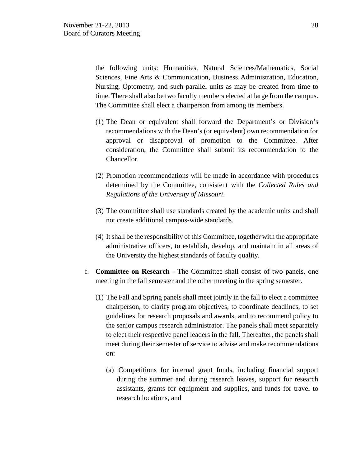the following units: Humanities, Natural Sciences/Mathematics, Social Sciences, Fine Arts & Communication, Business Administration, Education, Nursing, Optometry, and such parallel units as may be created from time to time. There shall also be two faculty members elected at large from the campus. The Committee shall elect a chairperson from among its members.

- (1) The Dean or equivalent shall forward the Department's or Division's recommendations with the Dean's (or equivalent) own recommendation for approval or disapproval of promotion to the Committee. After consideration, the Committee shall submit its recommendation to the Chancellor.
- (2) Promotion recommendations will be made in accordance with procedures determined by the Committee, consistent with the *Collected Rules and Regulations of the University of Missouri*.
- (3) The committee shall use standards created by the academic units and shall not create additional campus-wide standards.
- (4) It shall be the responsibility of this Committee, together with the appropriate administrative officers, to establish, develop, and maintain in all areas of the University the highest standards of faculty quality.
- f. **Committee on Research** The Committee shall consist of two panels, one meeting in the fall semester and the other meeting in the spring semester.
	- (1) The Fall and Spring panels shall meet jointly in the fall to elect a committee chairperson, to clarify program objectives, to coordinate deadlines, to set guidelines for research proposals and awards, and to recommend policy to the senior campus research administrator. The panels shall meet separately to elect their respective panel leaders in the fall. Thereafter, the panels shall meet during their semester of service to advise and make recommendations on:
		- (a) Competitions for internal grant funds, including financial support during the summer and during research leaves, support for research assistants, grants for equipment and supplies, and funds for travel to research locations, and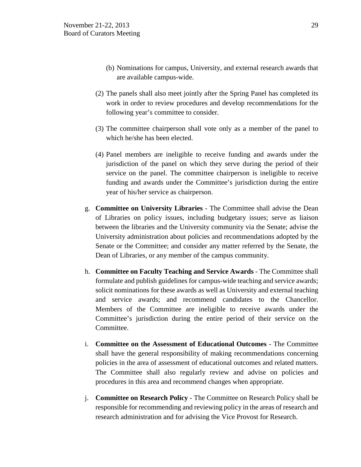- (b) Nominations for campus, University, and external research awards that are available campus-wide.
- (2) The panels shall also meet jointly after the Spring Panel has completed its work in order to review procedures and develop recommendations for the following year's committee to consider.
- (3) The committee chairperson shall vote only as a member of the panel to which he/she has been elected.
- (4) Panel members are ineligible to receive funding and awards under the jurisdiction of the panel on which they serve during the period of their service on the panel. The committee chairperson is ineligible to receive funding and awards under the Committee's jurisdiction during the entire year of his/her service as chairperson.
- g. **Committee on University Libraries**  The Committee shall advise the Dean of Libraries on policy issues, including budgetary issues; serve as liaison between the libraries and the University community via the Senate; advise the University administration about policies and recommendations adopted by the Senate or the Committee; and consider any matter referred by the Senate, the Dean of Libraries, or any member of the campus community.
- h. **Committee on Faculty Teaching and Service Awards** The Committee shall formulate and publish guidelines for campus-wide teaching and service awards; solicit nominations for these awards as well as University and external teaching and service awards; and recommend candidates to the Chancellor. Members of the Committee are ineligible to receive awards under the Committee's jurisdiction during the entire period of their service on the Committee.
- i. **Committee on the Assessment of Educational Outcomes** The Committee shall have the general responsibility of making recommendations concerning policies in the area of assessment of educational outcomes and related matters. The Committee shall also regularly review and advise on policies and procedures in this area and recommend changes when appropriate.
- j. **Committee on Research Policy**  The Committee on Research Policy shall be responsible for recommending and reviewing policy in the areas of research and research administration and for advising the Vice Provost for Research.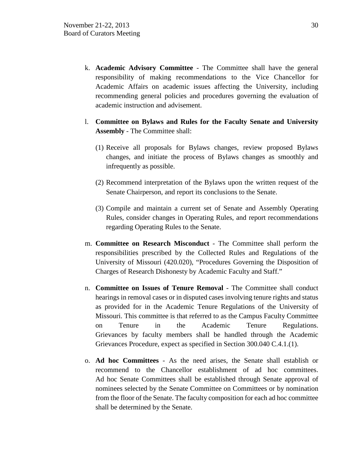- k. **Academic Advisory Committee** The Committee shall have the general responsibility of making recommendations to the Vice Chancellor for Academic Affairs on academic issues affecting the University, including recommending general policies and procedures governing the evaluation of academic instruction and advisement.
- l. **Committee on Bylaws and Rules for the Faculty Senate and University Assembly** - The Committee shall:
	- (1) Receive all proposals for Bylaws changes, review proposed Bylaws changes, and initiate the process of Bylaws changes as smoothly and infrequently as possible.
	- (2) Recommend interpretation of the Bylaws upon the written request of the Senate Chairperson, and report its conclusions to the Senate.
	- (3) Compile and maintain a current set of Senate and Assembly Operating Rules, consider changes in Operating Rules, and report recommendations regarding Operating Rules to the Senate.
- m. **Committee on Research Misconduct** The Committee shall perform the responsibilities prescribed by the Collected Rules and Regulations of the University of Missouri (420.020), "Procedures Governing the Disposition of Charges of Research Dishonesty by Academic Faculty and Staff."
- n. **Committee on Issues of Tenure Removal** The Committee shall conduct hearings in removal cases or in disputed cases involving tenure rights and status as provided for in the Academic Tenure Regulations of the University of Missouri. This committee is that referred to as the Campus Faculty Committee on Tenure in the Academic Tenure Regulations. Grievances by faculty members shall be handled through the Academic Grievances Procedure, expect as specified in Section 300.040 C.4.1.(1).
- o. **Ad hoc Committees** As the need arises, the Senate shall establish or recommend to the Chancellor establishment of ad hoc committees. Ad hoc Senate Committees shall be established through Senate approval of nominees selected by the Senate Committee on Committees or by nomination from the floor of the Senate. The faculty composition for each ad hoc committee shall be determined by the Senate.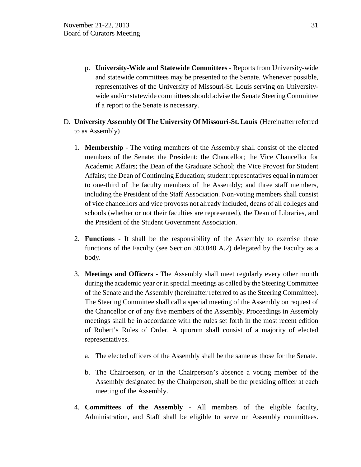- p. **University-Wide and Statewide Committees** Reports from University-wide and statewide committees may be presented to the Senate. Whenever possible, representatives of the University of Missouri-St. Louis serving on Universitywide and/or statewide committees should advise the Senate Steering Committee if a report to the Senate is necessary.
- D. **University Assembly Of The University Of Missouri-St. Louis** (Hereinafter referred to as Assembly)
	- 1. **Membership** The voting members of the Assembly shall consist of the elected members of the Senate; the President; the Chancellor; the Vice Chancellor for Academic Affairs; the Dean of the Graduate School; the Vice Provost for Student Affairs; the Dean of Continuing Education; student representatives equal in number to one-third of the faculty members of the Assembly; and three staff members, including the President of the Staff Association. Non-voting members shall consist of vice chancellors and vice provosts not already included, deans of all colleges and schools (whether or not their faculties are represented), the Dean of Libraries, and the President of the Student Government Association.
	- 2. **Functions** It shall be the responsibility of the Assembly to exercise those functions of the Faculty (see Section 300.040 A.2) delegated by the Faculty as a body.
	- 3. **Meetings and Officers** The Assembly shall meet regularly every other month during the academic year or in special meetings as called by the Steering Committee of the Senate and the Assembly (hereinafter referred to as the Steering Committee). The Steering Committee shall call a special meeting of the Assembly on request of the Chancellor or of any five members of the Assembly. Proceedings in Assembly meetings shall be in accordance with the rules set forth in the most recent edition of Robert's Rules of Order. A quorum shall consist of a majority of elected representatives.
		- a. The elected officers of the Assembly shall be the same as those for the Senate.
		- b. The Chairperson, or in the Chairperson's absence a voting member of the Assembly designated by the Chairperson, shall be the presiding officer at each meeting of the Assembly.
	- 4. **Committees of the Assembly** All members of the eligible faculty, Administration, and Staff shall be eligible to serve on Assembly committees.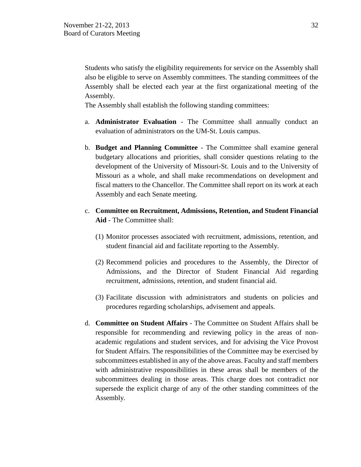Students who satisfy the eligibility requirements for service on the Assembly shall also be eligible to serve on Assembly committees. The standing committees of the Assembly shall be elected each year at the first organizational meeting of the Assembly.

The Assembly shall establish the following standing committees:

- a. **Administrator Evaluation** The Committee shall annually conduct an evaluation of administrators on the UM-St. Louis campus.
- b. **Budget and Planning Committee** The Committee shall examine general budgetary allocations and priorities, shall consider questions relating to the development of the University of Missouri-St. Louis and to the University of Missouri as a whole, and shall make recommendations on development and fiscal matters to the Chancellor. The Committee shall report on its work at each Assembly and each Senate meeting.
- c. **Committee on Recruitment, Admissions, Retention, and Student Financial Aid** - The Committee shall:
	- (1) Monitor processes associated with recruitment, admissions, retention, and student financial aid and facilitate reporting to the Assembly.
	- (2) Recommend policies and procedures to the Assembly, the Director of Admissions, and the Director of Student Financial Aid regarding recruitment, admissions, retention, and student financial aid.
	- (3) Facilitate discussion with administrators and students on policies and procedures regarding scholarships, advisement and appeals.
- d. **Committee on Student Affairs** The Committee on Student Affairs shall be responsible for recommending and reviewing policy in the areas of nonacademic regulations and student services, and for advising the Vice Provost for Student Affairs. The responsibilities of the Committee may be exercised by subcommittees established in any of the above areas. Faculty and staff members with administrative responsibilities in these areas shall be members of the subcommittees dealing in those areas. This charge does not contradict nor supersede the explicit charge of any of the other standing committees of the Assembly.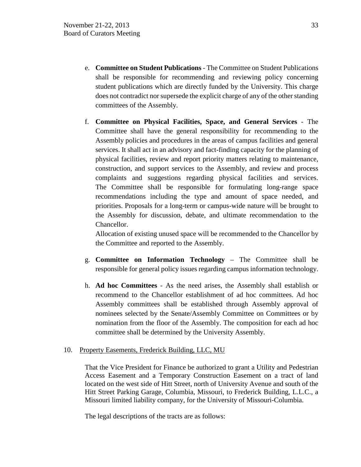- e. **Committee on Student Publications** The Committee on Student Publications shall be responsible for recommending and reviewing policy concerning student publications which are directly funded by the University. This charge does not contradict nor supersede the explicit charge of any of the other standing committees of the Assembly.
- f. **Committee on Physical Facilities, Space, and General Services** The Committee shall have the general responsibility for recommending to the Assembly policies and procedures in the areas of campus facilities and general services. It shall act in an advisory and fact-finding capacity for the planning of physical facilities, review and report priority matters relating to maintenance, construction, and support services to the Assembly, and review and process complaints and suggestions regarding physical facilities and services. The Committee shall be responsible for formulating long-range space recommendations including the type and amount of space needed, and priorities. Proposals for a long-term or campus-wide nature will be brought to the Assembly for discussion, debate, and ultimate recommendation to the Chancellor.

Allocation of existing unused space will be recommended to the Chancellor by the Committee and reported to the Assembly.

- g. **Committee on Information Technology** The Committee shall be responsible for general policy issues regarding campus information technology.
- h. **Ad hoc Committees** As the need arises, the Assembly shall establish or recommend to the Chancellor establishment of ad hoc committees. Ad hoc Assembly committees shall be established through Assembly approval of nominees selected by the Senate/Assembly Committee on Committees or by nomination from the floor of the Assembly. The composition for each ad hoc committee shall be determined by the University Assembly.

## 10. Property Easements, Frederick Building, LLC, MU

That the Vice President for Finance be authorized to grant a Utility and Pedestrian Access Easement and a Temporary Construction Easement on a tract of land located on the west side of Hitt Street, north of University Avenue and south of the Hitt Street Parking Garage, Columbia, Missouri, to Frederick Building, L.L.C., a Missouri limited liability company, for the University of Missouri-Columbia.

The legal descriptions of the tracts are as follows: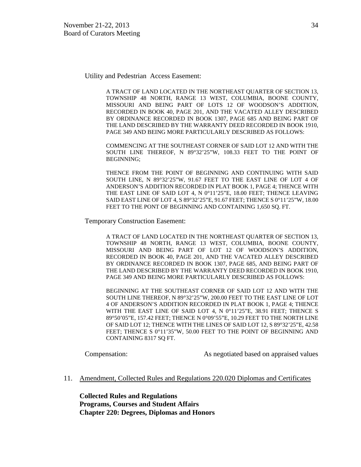Utility and Pedestrian Access Easement:

A TRACT OF LAND LOCATED IN THE NORTHEAST QUARTER OF SECTION 13, TOWNSHIP 48 NORTH, RANGE 13 WEST, COLUMBIA, BOONE COUNTY, MISSOURI AND BEING PART OF LOTS 12 OF WOODSON'S ADDITION, RECORDED IN BOOK 40, PAGE 201, AND THE VACATED ALLEY DESCRIBED BY ORDINANCE RECORDED IN BOOK 1307, PAGE 685 AND BEING PART OF THE LAND DESCRIBED BY THE WARRANTY DEED RECORDED IN BOOK 1910, PAGE 349 AND BEING MORE PARTICULARLY DESCRIBED AS FOLLOWS:

COMMENCING AT THE SOUTHEAST CORNER OF SAID LOT 12 AND WITH THE SOUTH LINE THEREOF, N 89°32'25"W, 108.33 FEET TO THE POINT OF BEGINNING;

THENCE FROM THE POINT OF BEGINNING AND CONTINUING WITH SAID SOUTH LINE, N 89°32'25"W, 91.67 FEET TO THE EAST LINE OF LOT 4 OF ANDERSON'S ADDITION RECORDED IN PLAT BOOK 1, PAGE 4; THENCE WITH THE EAST LINE OF SAID LOT 4, N 0°11'25"E, 18.00 FEET; THENCE LEAVING SAID EAST LINE OF LOT 4, S 89°32'25"E, 91.67 FEET; THENCE S 0°11'25"W, 18.00 FEET TO THE PONT OF BEGINNING AND CONTAINING 1,650 SQ. FT.

Temporary Construction Easement:

A TRACT OF LAND LOCATED IN THE NORTHEAST QUARTER OF SECTION 13, TOWNSHIP 48 NORTH, RANGE 13 WEST, COLUMBIA, BOONE COUNTY, MISSOURI AND BEING PART OF LOT 12 OF WOODSON'S ADDITION, RECORDED IN BOOK 40, PAGE 201, AND THE VACATED ALLEY DESCRIBED BY ORDINANCE RECORDED IN BOOK 1307, PAGE 685, AND BEING PART OF THE LAND DESCRIBED BY THE WARRANTY DEED RECORDED IN BOOK 1910, PAGE 349 AND BEING MORE PARTICULARLY DESCRIBED AS FOLLOWS:

BEGINNING AT THE SOUTHEAST CORNER OF SAID LOT 12 AND WITH THE SOUTH LINE THEREOF, N 89°32'25"W, 200.00 FEET TO THE EAST LINE OF LOT 4 OF ANDERSON'S ADDITION RECORDED IN PLAT BOOK 1, PAGE 4; THENCE WITH THE EAST LINE OF SAID LOT 4, N 0°11'25"E, 38.91 FEET; THENCE S 89°50'05"E, 157.42 FEET; THENCE N 0°09'55"E, 10.29 FEET TO THE NORTH LINE OF SAID LOT 12; THENCE WITH THE LINES OF SAID LOT 12, S 89°32'25"E, 42.58 FEET; THENCE S 0°11'35"W, 50.00 FEET TO THE POINT OF BEGINNING AND CONTAINING 8317 SQ FT.

Compensation: As negotiated based on appraised values

11. Amendment, Collected Rules and Regulations 220.020 Diplomas and Certificates

**Collected Rules and Regulations Programs, Courses and Student Affairs Chapter 220: Degrees, Diplomas and Honors**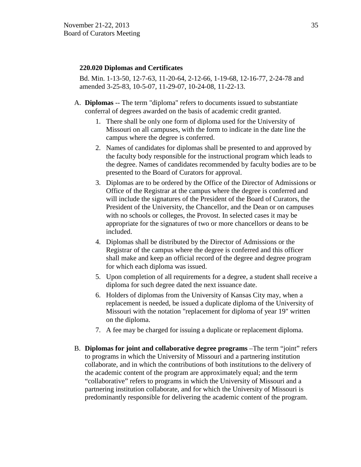#### **220.020 Diplomas and Certificates**

Bd. Min. 1-13-50, 12-7-63, 11-20-64, 2-12-66, 1-19-68, 12-16-77, 2-24-78 and amended 3-25-83, 10-5-07, 11-29-07, 10-24-08, 11-22-13.

- A. **Diplomas** -- The term "diploma" refers to documents issued to substantiate conferral of degrees awarded on the basis of academic credit granted.
	- 1. There shall be only one form of diploma used for the University of Missouri on all campuses, with the form to indicate in the date line the campus where the degree is conferred.
	- 2. Names of candidates for diplomas shall be presented to and approved by the faculty body responsible for the instructional program which leads to the degree. Names of candidates recommended by faculty bodies are to be presented to the Board of Curators for approval.
	- 3. Diplomas are to be ordered by the Office of the Director of Admissions or Office of the Registrar at the campus where the degree is conferred and will include the signatures of the President of the Board of Curators, the President of the University, the Chancellor, and the Dean or on campuses with no schools or colleges, the Provost. In selected cases it may be appropriate for the signatures of two or more chancellors or deans to be included.
	- 4. Diplomas shall be distributed by the Director of Admissions or the Registrar of the campus where the degree is conferred and this officer shall make and keep an official record of the degree and degree program for which each diploma was issued.
	- 5. Upon completion of all requirements for a degree, a student shall receive a diploma for such degree dated the next issuance date.
	- 6. Holders of diplomas from the University of Kansas City may, when a replacement is needed, be issued a duplicate diploma of the University of Missouri with the notation "replacement for diploma of year 19" written on the diploma.
	- 7. A fee may be charged for issuing a duplicate or replacement diploma.
- B. **Diplomas for joint and collaborative degree programs** –The term "joint" refers to programs in which the University of Missouri and a partnering institution collaborate, and in which the contributions of both institutions to the delivery of the academic content of the program are approximately equal; and the term "collaborative" refers to programs in which the University of Missouri and a partnering institution collaborate, and for which the University of Missouri is predominantly responsible for delivering the academic content of the program.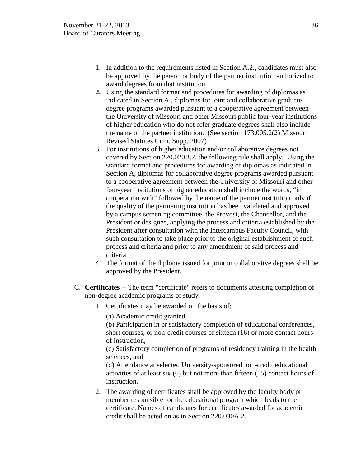- 1. In addition to the requirements listed in Section A.2., candidates must also be approved by the person or body of the partner institution authorized to award degrees from that institution.
- **2.** Using the standard format and procedures for awarding of diplomas as indicated in Section A., diplomas for joint and collaborative graduate degree programs awarded pursuant to a cooperative agreement between the University of Missouri and other Missouri public four-year institutions of higher education who do not offer graduate degrees shall also include the name of the partner institution. (See section 173.005.2(2) Missouri Revised Statutes Cum. Supp. 2007)
- 3. For institutions of higher education and/or collaborative degrees not covered by Section 220.020B.2, the following rule shall apply. Using the standard format and procedures for awarding of diplomas as indicated in Section A, diplomas for collaborative degree programs awarded pursuant to a cooperative agreement between the University of Missouri and other four-year institutions of higher education shall include the words, "in cooperation with" followed by the name of the partner institution only if the quality of the partnering institution has been validated and approved by a campus screening committee, the Provost, the Chancellor, and the President or designee, applying the process and criteria established by the President after consultation with the Intercampus Faculty Council, with such consultation to take place prior to the original establishment of such process and criteria and prior to any amendment of said process and criteria.
- 4. The format of the diploma issued for joint or collaborative degrees shall be approved by the President.
- C. **Certificates** -- The term "certificate" refers to documents attesting completion of non-degree academic programs of study.
	- 1. Certificates may be awarded on the basis of:

(a) Academic credit granted,

(b) Participation in or satisfactory completion of educational conferences, short courses, or non-credit courses of sixteen (16) or more contact hours of instruction,

(c) Satisfactory completion of programs of residency training in the health sciences, and

(d) Attendance at selected University-sponsored non-credit educational activities of at least six (6) but not more than fifteen (15) contact hours of instruction.

2. The awarding of certificates shall be approved by the faculty body or member responsible for the educational program which leads to the certificate. Names of candidates for certificates awarded for academic credit shall be acted on as in Section 220.030A.2.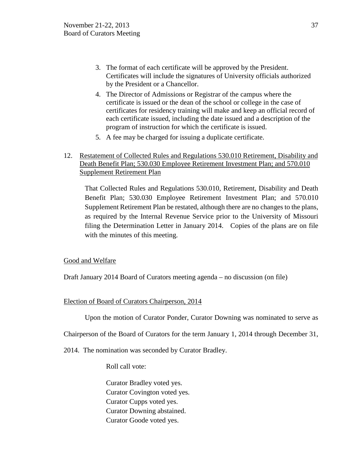- 3. The format of each certificate will be approved by the President. Certificates will include the signatures of University officials authorized by the President or a Chancellor.
- 4. The Director of Admissions or Registrar of the campus where the certificate is issued or the dean of the school or college in the case of certificates for residency training will make and keep an official record of each certificate issued, including the date issued and a description of the program of instruction for which the certificate is issued.
- 5. A fee may be charged for issuing a duplicate certificate.
- 12. Restatement of Collected Rules and Regulations 530.010 Retirement, Disability and Death Benefit Plan; 530.030 Employee Retirement Investment Plan; and 570.010 Supplement Retirement Plan

That Collected Rules and Regulations 530.010, Retirement, Disability and Death Benefit Plan; 530.030 Employee Retirement Investment Plan; and 570.010 Supplement Retirement Plan be restated, although there are no changes to the plans, as required by the Internal Revenue Service prior to the University of Missouri filing the Determination Letter in January 2014. Copies of the plans are on file with the minutes of this meeting.

# Good and Welfare

Draft January 2014 Board of Curators meeting agenda – no discussion (on file)

# Election of Board of Curators Chairperson, 2014

Upon the motion of Curator Ponder, Curator Downing was nominated to serve as

Chairperson of the Board of Curators for the term January 1, 2014 through December 31,

2014. The nomination was seconded by Curator Bradley.

Roll call vote:

Curator Bradley voted yes. Curator Covington voted yes. Curator Cupps voted yes. Curator Downing abstained. Curator Goode voted yes.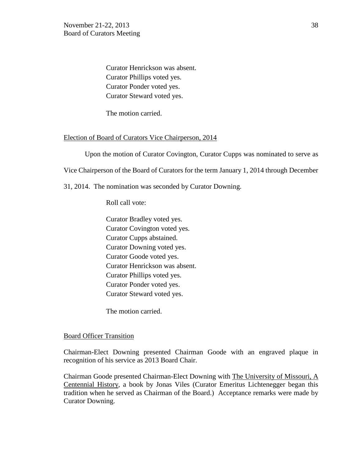Curator Henrickson was absent. Curator Phillips voted yes. Curator Ponder voted yes. Curator Steward voted yes.

The motion carried.

#### Election of Board of Curators Vice Chairperson, 2014

Upon the motion of Curator Covington, Curator Cupps was nominated to serve as

Vice Chairperson of the Board of Curators for the term January 1, 2014 through December

31, 2014. The nomination was seconded by Curator Downing.

Roll call vote:

Curator Bradley voted yes. Curator Covington voted yes. Curator Cupps abstained. Curator Downing voted yes. Curator Goode voted yes. Curator Henrickson was absent. Curator Phillips voted yes. Curator Ponder voted yes. Curator Steward voted yes.

The motion carried.

#### Board Officer Transition

Chairman-Elect Downing presented Chairman Goode with an engraved plaque in recognition of his service as 2013 Board Chair.

Chairman Goode presented Chairman-Elect Downing with The University of Missouri, A Centennial History, a book by Jonas Viles (Curator Emeritus Lichtenegger began this tradition when he served as Chairman of the Board.) Acceptance remarks were made by Curator Downing.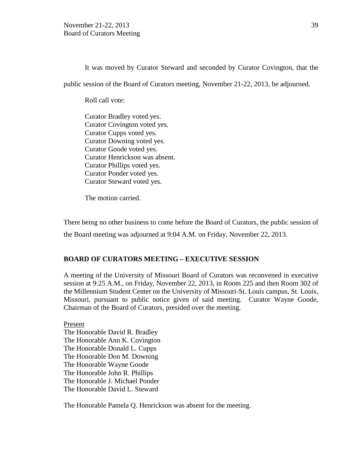It was moved by Curator Steward and seconded by Curator Covington, that the public session of the Board of Curators meeting, November 21-22, 2013, be adjourned.

Roll call vote:

Curator Bradley voted yes. Curator Covington voted yes. Curator Cupps voted yes. Curator Downing voted yes. Curator Goode voted yes. Curator Henrickson was absent. Curator Phillips voted yes. Curator Ponder voted yes. Curator Steward voted yes.

The motion carried.

There being no other business to come before the Board of Curators, the public session of the Board meeting was adjourned at 9:04 A.M. on Friday, November 22, 2013.

## **BOARD OF CURATORS MEETING – EXECUTIVE SESSION**

A meeting of the University of Missouri Board of Curators was reconvened in executive session at 9:25 A.M., on Friday, November 22, 2013, in Room 225 and then Room 302 of the Millennium Student Center on the University of Missouri-St. Louis campus, St. Louis, Missouri, pursuant to public notice given of said meeting. Curator Wayne Goode, Chairman of the Board of Curators, presided over the meeting.

Present The Honorable David R. Bradley The Honorable Ann K. Covington The Honorable Donald L. Cupps The Honorable Don M. Downing The Honorable Wayne Goode The Honorable John R. Phillips The Honorable J. Michael Ponder The Honorable David L. Steward

The Honorable Pamela Q. Henrickson was absent for the meeting.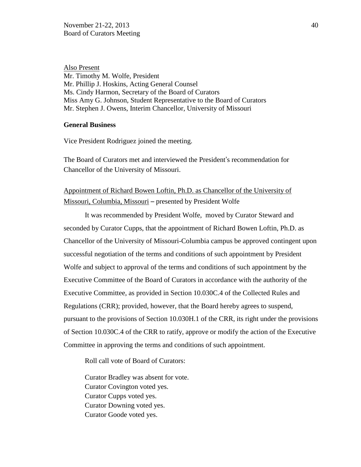Also Present Mr. Timothy M. Wolfe, President Mr. Phillip J. Hoskins, Acting General Counsel Ms. Cindy Harmon, Secretary of the Board of Curators Miss Amy G. Johnson, Student Representative to the Board of Curators Mr. Stephen J. Owens, Interim Chancellor, University of Missouri

#### **General Business**

Vice President Rodriguez joined the meeting.

The Board of Curators met and interviewed the President's recommendation for Chancellor of the University of Missouri.

# Appointment of Richard Bowen Loftin, Ph.D. as Chancellor of the University of Missouri, Columbia, Missouri – presented by President Wolfe

It was recommended by President Wolfe, moved by Curator Steward and seconded by Curator Cupps, that the appointment of Richard Bowen Loftin, Ph.D. as Chancellor of the University of Missouri-Columbia campus be approved contingent upon successful negotiation of the terms and conditions of such appointment by President Wolfe and subject to approval of the terms and conditions of such appointment by the Executive Committee of the Board of Curators in accordance with the authority of the Executive Committee, as provided in Section 10.030C.4 of the Collected Rules and Regulations (CRR); provided, however, that the Board hereby agrees to suspend, pursuant to the provisions of Section 10.030H.1 of the CRR, its right under the provisions of Section 10.030C.4 of the CRR to ratify, approve or modify the action of the Executive Committee in approving the terms and conditions of such appointment.

Roll call vote of Board of Curators:

Curator Bradley was absent for vote. Curator Covington voted yes. Curator Cupps voted yes. Curator Downing voted yes. Curator Goode voted yes.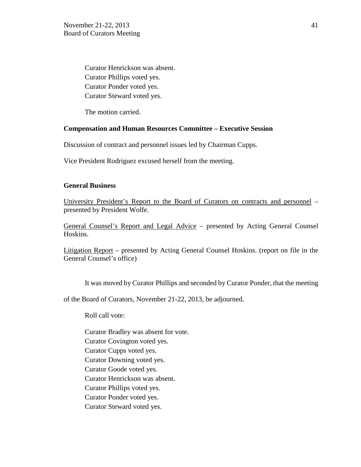Curator Henrickson was absent. Curator Phillips voted yes. Curator Ponder voted yes. Curator Steward voted yes.

The motion carried.

#### **Compensation and Human Resources Committee – Executive Session**

Discussion of contract and personnel issues led by Chairman Cupps.

Vice President Rodriguez excused herself from the meeting.

## **General Business**

University President's Report to the Board of Curators on contracts and personnel – presented by President Wolfe.

General Counsel's Report and Legal Advice – presented by Acting General Counsel Hoskins.

Litigation Report – presented by Acting General Counsel Hoskins. (report on file in the General Counsel's office)

It was moved by Curator Phillips and seconded by Curator Ponder, that the meeting

of the Board of Curators, November 21-22, 2013, be adjourned.

Roll call vote:

- Curator Bradley was absent for vote.
- Curator Covington voted yes.
- Curator Cupps voted yes.
- Curator Downing voted yes.
- Curator Goode voted yes.
- Curator Henrickson was absent.
- Curator Phillips voted yes.
- Curator Ponder voted yes.
- Curator Steward voted yes.